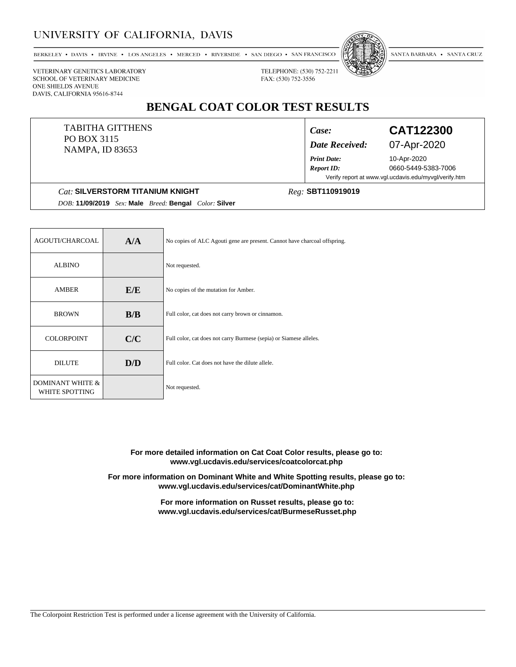### UNIVERSITY OF CALIFORNIA, DAVIS

BERKELEY • DAVIS • IRVINE • LOS ANGELES • MERCED • RIVERSIDE • SAN DIEGO • SAN FRANCISCO



SANTA BARBARA • SANTA CRUZ

FAX: (530) 752-3556

TELEPHONE: (530) 752-2211

VETERINARY GENETICS LABORATORY SCHOOL OF VETERINARY MEDICINE ONE SHIELDS AVENUE DAVIS, CALIFORNIA 95616-8744

# **BENGAL COAT COLOR TEST RESULTS**

#### TABITHA GITTHENS PO BOX 3115 NAMPA, ID 83653

## *Date Received:* 07-Apr-2020

*Print Date:*

*Case:* **CAT122300**

10-Apr-2020 *Report ID:* 0660-5449-5383-7006 Verify report at www.vgl.ucdavis.edu/myvgl/verify.htm

#### **Cat: SILVERSTORM TITANIUM KNIGHT**

## *Reg:*

*DOB:* **11/09/2019** *Sex:* **Male** *Breed:* **Bengal** *Color:* **Silver**

| AGOUTI/CHARCOAL                               | A/A | No copies of ALC Agouti gene are present. Cannot have charcoal offspring. |
|-----------------------------------------------|-----|---------------------------------------------------------------------------|
| <b>ALBINO</b>                                 |     | Not requested.                                                            |
| AMBER                                         | E/E | No copies of the mutation for Amber.                                      |
| <b>BROWN</b>                                  | B/B | Full color, cat does not carry brown or cinnamon.                         |
| <b>COLORPOINT</b>                             | C/C | Full color, cat does not carry Burmese (sepia) or Siamese alleles.        |
| <b>DILUTE</b>                                 | D/D | Full color. Cat does not have the dilute allele.                          |
| <b>DOMINANT WHITE &amp;</b><br>WHITE SPOTTING |     | Not requested.                                                            |

**For more detailed information on Cat Coat Color results, please go to: www.vgl.ucdavis.edu/services/coatcolorcat.php**

**For more information on Dominant White and White Spotting results, please go to: www.vgl.ucdavis.edu/services/cat/DominantWhite.php**

> **For more information on Russet results, please go to: www.vgl.ucdavis.edu/services/cat/BurmeseRusset.php**